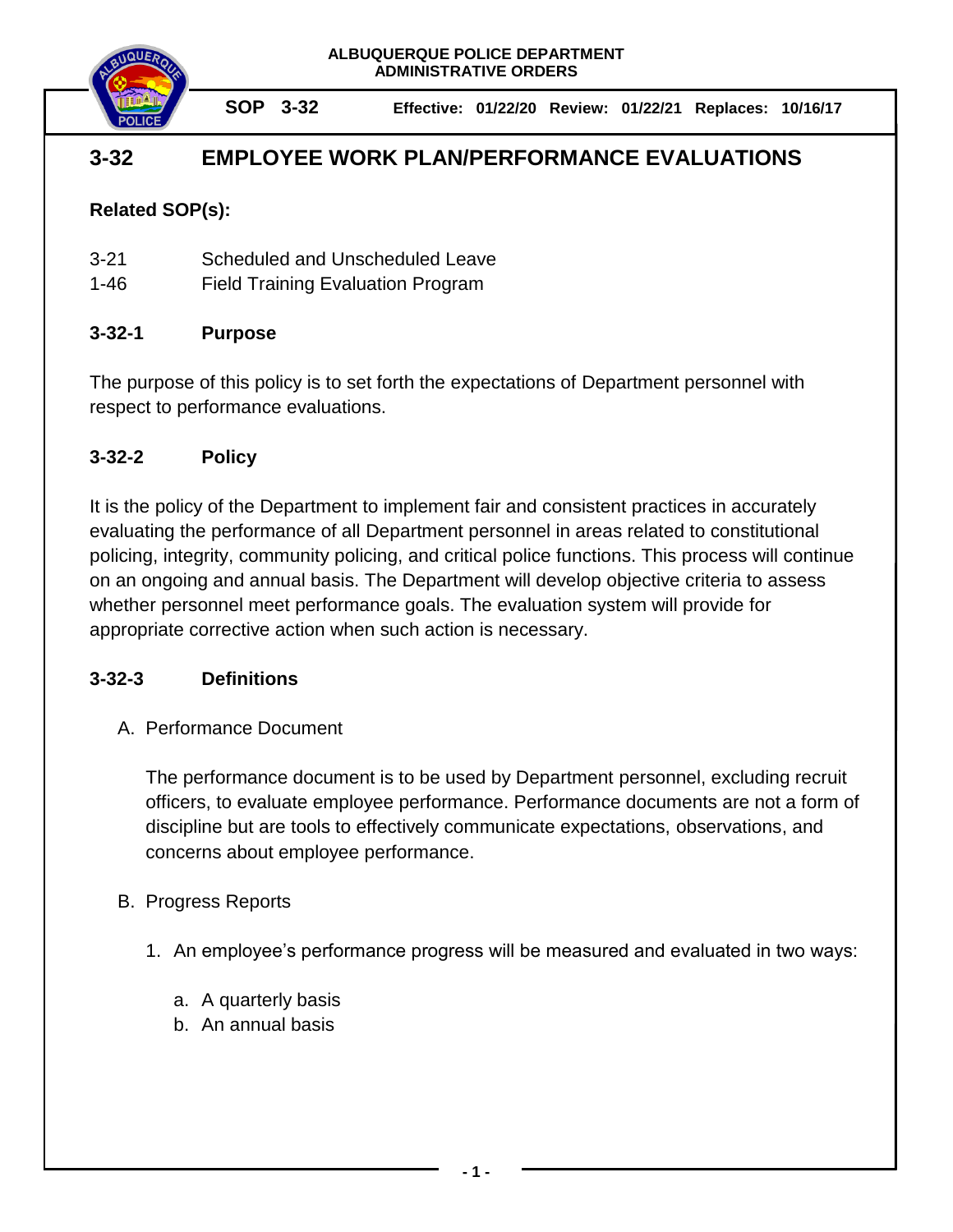

**SOP 3-32 Effective: 01/22/20 Review: 01/22/21 Replaces: 10/16/17**

# **3-32 EMPLOYEE WORK PLAN/PERFORMANCE EVALUATIONS**

## **Related SOP(s):**

| $3 - 21$ | Scheduled and Unscheduled Leave |  |
|----------|---------------------------------|--|
|          |                                 |  |

1-46 Field Training Evaluation Program

### **3-32-1 Purpose**

The purpose of this policy is to set forth the expectations of Department personnel with respect to performance evaluations.

### **3-32-2 Policy**

It is the policy of the Department to implement fair and consistent practices in accurately evaluating the performance of all Department personnel in areas related to constitutional policing, integrity, community policing, and critical police functions. This process will continue on an ongoing and annual basis. The Department will develop objective criteria to assess whether personnel meet performance goals. The evaluation system will provide for appropriate corrective action when such action is necessary.

### **3-32-3 Definitions**

### A. Performance Document

The performance document is to be used by Department personnel, excluding recruit officers, to evaluate employee performance. Performance documents are not a form of discipline but are tools to effectively communicate expectations, observations, and concerns about employee performance.

### B. Progress Reports

- 1. An employee's performance progress will be measured and evaluated in two ways:
	- a. A quarterly basis
	- b. An annual basis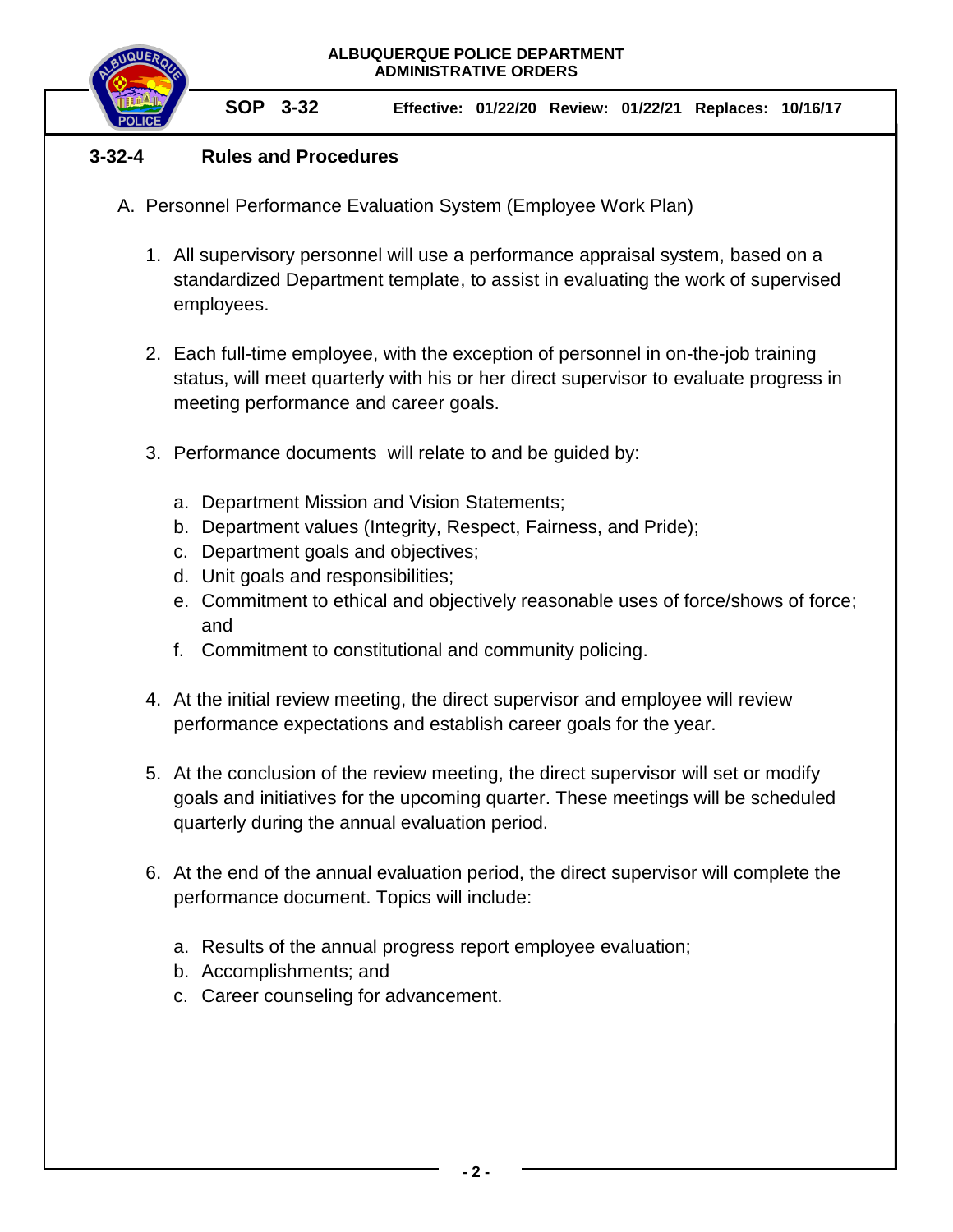**SOP 3-32 Effective: 01/22/20 Review: 01/22/21 Replaces: 10/16/17**

### **3-32-4 Rules and Procedures**

- A. Personnel Performance Evaluation System (Employee Work Plan)
	- 1. All supervisory personnel will use a performance appraisal system, based on a standardized Department template, to assist in evaluating the work of supervised employees.
	- 2. Each full-time employee, with the exception of personnel in on-the-job training status, will meet quarterly with his or her direct supervisor to evaluate progress in meeting performance and career goals.
	- 3. Performance documents will relate to and be guided by:
		- a. Department Mission and Vision Statements;
		- b. Department values (Integrity, Respect, Fairness, and Pride);
		- c. Department goals and objectives;
		- d. Unit goals and responsibilities;
		- e. Commitment to ethical and objectively reasonable uses of force/shows of force; and
		- f. Commitment to constitutional and community policing.
	- 4. At the initial review meeting, the direct supervisor and employee will review performance expectations and establish career goals for the year.
	- 5. At the conclusion of the review meeting, the direct supervisor will set or modify goals and initiatives for the upcoming quarter. These meetings will be scheduled quarterly during the annual evaluation period.
	- 6. At the end of the annual evaluation period, the direct supervisor will complete the performance document. Topics will include:
		- a. Results of the annual progress report employee evaluation;
		- b. Accomplishments; and
		- c. Career counseling for advancement.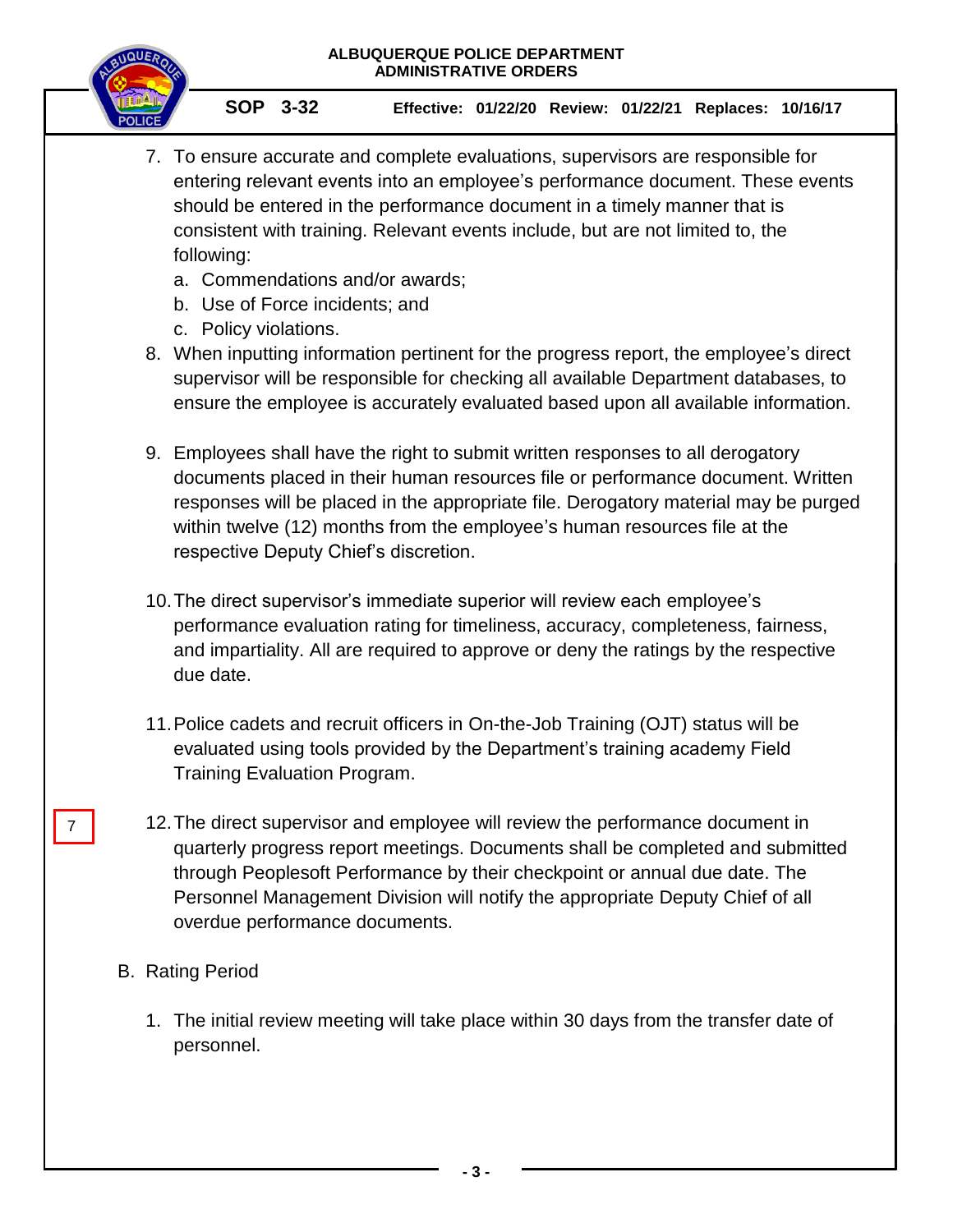

**SOP 3-32 Effective: 01/22/20 Review: 01/22/21 Replaces: 10/16/17**

- 7. To ensure accurate and complete evaluations, supervisors are responsible for entering relevant events into an employee's performance document. These events should be entered in the performance document in a timely manner that is consistent with training. Relevant events include, but are not limited to, the following:
	- a. Commendations and/or awards;
	- b. Use of Force incidents; and
	- c. Policy violations.
- 8. When inputting information pertinent for the progress report, the employee's direct supervisor will be responsible for checking all available Department databases, to ensure the employee is accurately evaluated based upon all available information.
- 9. Employees shall have the right to submit written responses to all derogatory documents placed in their human resources file or performance document. Written responses will be placed in the appropriate file. Derogatory material may be purged within twelve (12) months from the employee's human resources file at the respective Deputy Chief's discretion.
- 10.The direct supervisor's immediate superior will review each employee's performance evaluation rating for timeliness, accuracy, completeness, fairness, and impartiality. All are required to approve or deny the ratings by the respective due date.
- 11.Police cadets and recruit officers in On-the-Job Training (OJT) status will be evaluated using tools provided by the Department's training academy Field Training Evaluation Program.
- 12.The direct supervisor and employee will review the performance document in quarterly progress report meetings. Documents shall be completed and submitted through Peoplesoft Performance by their checkpoint or annual due date. The Personnel Management Division will notify the appropriate Deputy Chief of all overdue performance documents.
- B. Rating Period

7

1. The initial review meeting will take place within 30 days from the transfer date of personnel.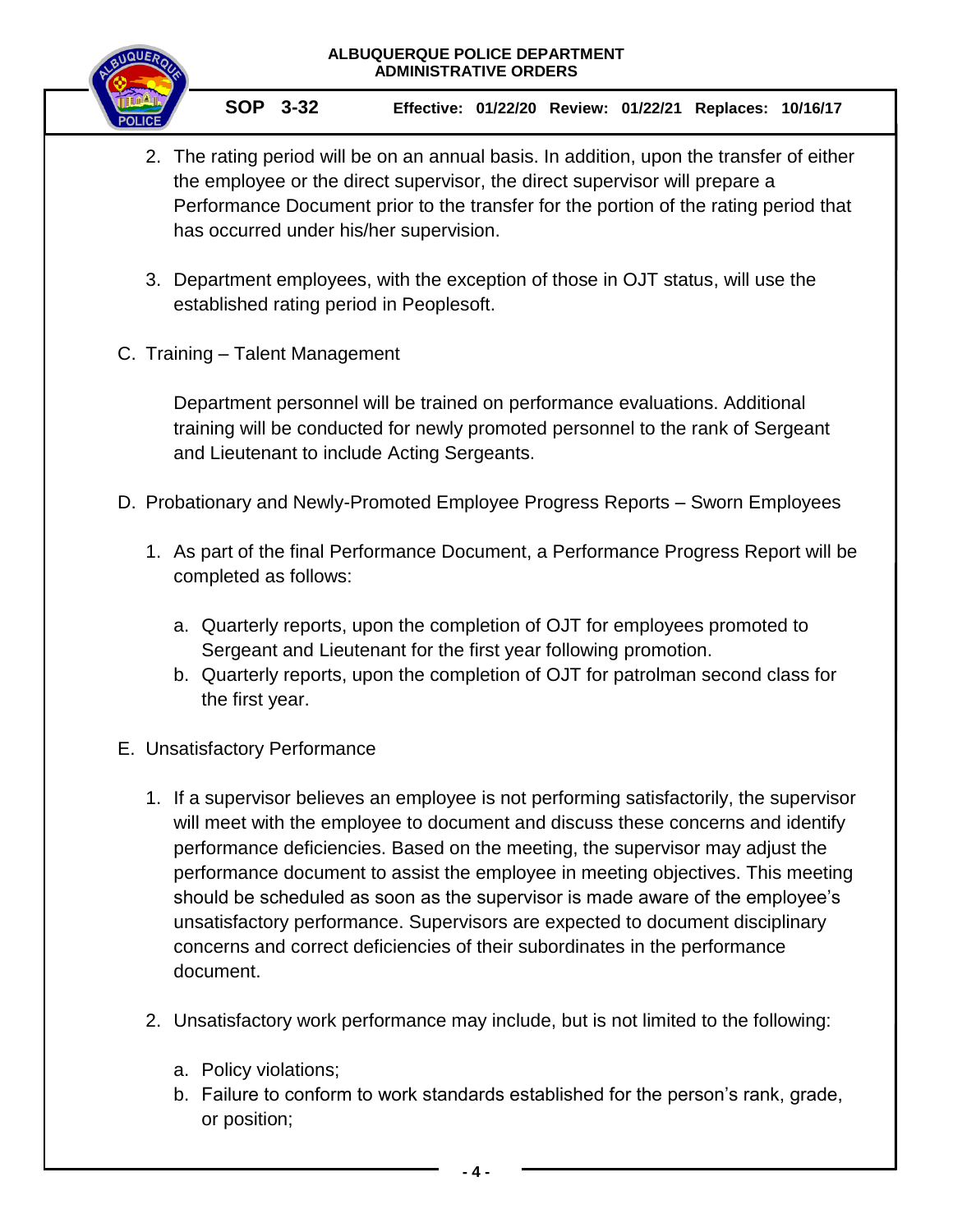

- 2. The rating period will be on an annual basis. In addition, upon the transfer of either the employee or the direct supervisor, the direct supervisor will prepare a Performance Document prior to the transfer for the portion of the rating period that has occurred under his/her supervision.
- 3. Department employees, with the exception of those in OJT status, will use the established rating period in Peoplesoft.
- C. Training Talent Management

Department personnel will be trained on performance evaluations. Additional training will be conducted for newly promoted personnel to the rank of Sergeant and Lieutenant to include Acting Sergeants.

- D. Probationary and Newly-Promoted Employee Progress Reports Sworn Employees
	- 1. As part of the final Performance Document, a Performance Progress Report will be completed as follows:
		- a. Quarterly reports, upon the completion of OJT for employees promoted to Sergeant and Lieutenant for the first year following promotion.
		- b. Quarterly reports, upon the completion of OJT for patrolman second class for the first year.
- E. Unsatisfactory Performance
	- 1. If a supervisor believes an employee is not performing satisfactorily, the supervisor will meet with the employee to document and discuss these concerns and identify performance deficiencies. Based on the meeting, the supervisor may adjust the performance document to assist the employee in meeting objectives. This meeting should be scheduled as soon as the supervisor is made aware of the employee's unsatisfactory performance. Supervisors are expected to document disciplinary concerns and correct deficiencies of their subordinates in the performance document.
	- 2. Unsatisfactory work performance may include, but is not limited to the following:
		- a. Policy violations;
		- b. Failure to conform to work standards established for the person's rank, grade, or position;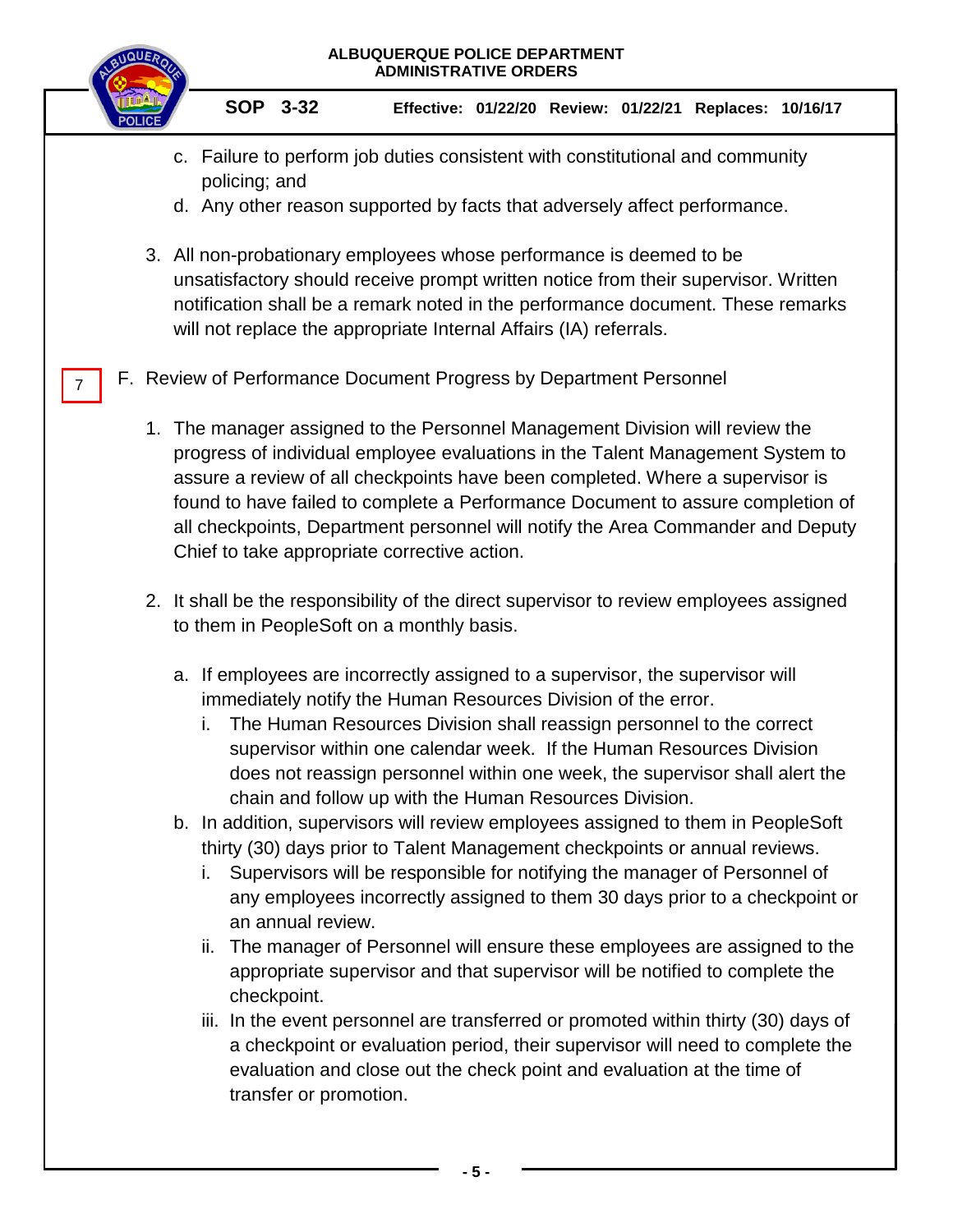